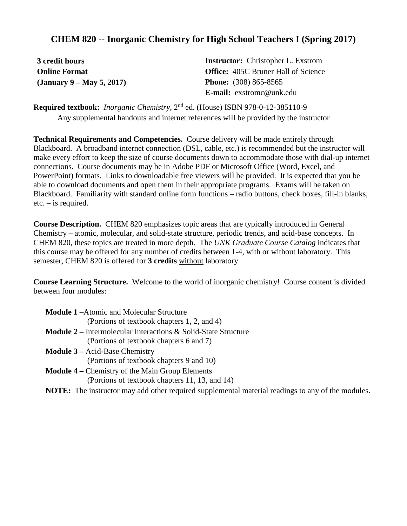### **CHEM 820 -- Inorganic Chemistry for High School Teachers I (Spring 2017)**

| 3 credit hours            | <b>Instructor:</b> Christopher L. Exstrom  |
|---------------------------|--------------------------------------------|
| <b>Online Format</b>      | <b>Office:</b> 405C Bruner Hall of Science |
| (January 9 – May 5, 2017) | <b>Phone:</b> $(308) 865 - 8565$           |
|                           | <b>E-mail:</b> $ext{exstrome@unk.edu}$     |

**Required textbook:** *Inorganic Chemistry*, 2nd ed. (House) ISBN 978-0-12-385110-9 Any supplemental handouts and internet references will be provided by the instructor

**Technical Requirements and Competencies.** Course delivery will be made entirely through Blackboard. A broadband internet connection (DSL, cable, etc.) is recommended but the instructor will make every effort to keep the size of course documents down to accommodate those with dial-up internet connections. Course documents may be in Adobe PDF or Microsoft Office (Word, Excel, and PowerPoint) formats. Links to downloadable free viewers will be provided. It is expected that you be able to download documents and open them in their appropriate programs. Exams will be taken on Blackboard. Familiarity with standard online form functions – radio buttons, check boxes, fill-in blanks, etc. – is required.

**Course Description.** CHEM 820 emphasizes topic areas that are typically introduced in General Chemistry – atomic, molecular, and solid-state structure, periodic trends, and acid-base concepts. In CHEM 820, these topics are treated in more depth. The *UNK Graduate Course Catalog* indicates that this course may be offered for any number of credits between 1-4, with or without laboratory. This semester, CHEM 820 is offered for **3 credits** without laboratory.

**Course Learning Structure.** Welcome to the world of inorganic chemistry! Course content is divided between four modules:

| <b>Module 1-Atomic and Molecular Structure</b>                                                           |
|----------------------------------------------------------------------------------------------------------|
| (Portions of textbook chapters 1, 2, and 4)                                                              |
| <b>Module 2 – Intermolecular Interactions &amp; Solid-State Structure</b>                                |
| (Portions of textbook chapters 6 and 7)                                                                  |
| <b>Module 3</b> – Acid-Base Chemistry                                                                    |
| (Portions of textbook chapters 9 and 10)                                                                 |
| <b>Module 4 – Chemistry of the Main Group Elements</b>                                                   |
| (Portions of textbook chapters 11, 13, and 14)                                                           |
| <b>NOTE:</b> The instructor may add other required supplemental material readings to any of the modules. |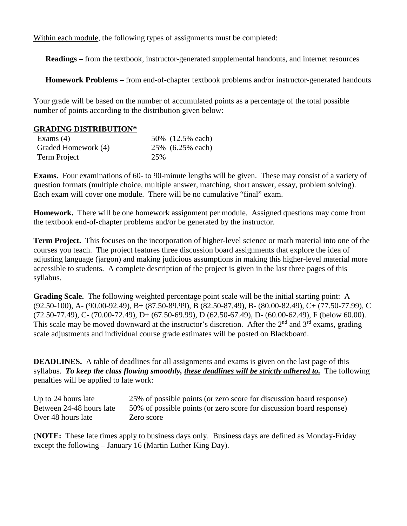Within each module, the following types of assignments must be completed:

**Readings –** from the textbook, instructor-generated supplemental handouts, and internet resources

**Homework Problems –** from end-of-chapter textbook problems and/or instructor-generated handouts

Your grade will be based on the number of accumulated points as a percentage of the total possible number of points according to the distribution given below:

#### **GRADING DISTRIBUTION\***

| Exams $(4)$         | 50% (12.5% each) |
|---------------------|------------------|
| Graded Homework (4) | 25% (6.25% each) |
| Term Project        | 25%              |

**Exams.** Four examinations of 60- to 90-minute lengths will be given. These may consist of a variety of question formats (multiple choice, multiple answer, matching, short answer, essay, problem solving). Each exam will cover one module. There will be no cumulative "final" exam.

**Homework.** There will be one homework assignment per module. Assigned questions may come from the textbook end-of-chapter problems and/or be generated by the instructor.

**Term Project.** This focuses on the incorporation of higher-level science or math material into one of the courses you teach. The project features three discussion board assignments that explore the idea of adjusting language (jargon) and making judicious assumptions in making this higher-level material more accessible to students. A complete description of the project is given in the last three pages of this syllabus.

**Grading Scale.** The following weighted percentage point scale will be the initial starting point: A (92.50-100), A- (90.00-92.49), B+ (87.50-89.99), B (82.50-87.49), B- (80.00-82.49), C+ (77.50-77.99), C (72.50-77.49), C- (70.00-72.49), D+ (67.50-69.99), D (62.50-67.49), D- (60.00-62.49), F (below 60.00). This scale may be moved downward at the instructor's discretion. After the 2<sup>nd</sup> and 3<sup>rd</sup> exams, grading scale adjustments and individual course grade estimates will be posted on Blackboard.

**DEADLINES.** A table of deadlines for all assignments and exams is given on the last page of this syllabus. *To keep the class flowing smoothly, these deadlines will be strictly adhered to.* The following penalties will be applied to late work:

Up to 24 hours late 25% of possible points (or zero score for discussion board response) Between 24-48 hours late 50% of possible points (or zero score for discussion board response) Over 48 hours late Zero score

(**NOTE:** These late times apply to business days only. Business days are defined as Monday-Friday except the following – January 16 (Martin Luther King Day).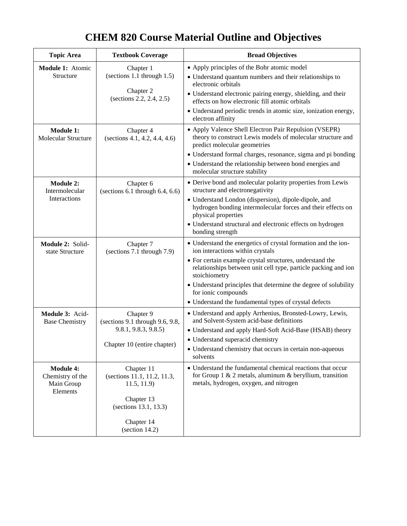| <b>Topic Area</b>                                              | <b>Textbook Coverage</b>                                                                                                               | <b>Broad Objectives</b>                                                                                                                                                                                                                                                                                                                                                                             |
|----------------------------------------------------------------|----------------------------------------------------------------------------------------------------------------------------------------|-----------------------------------------------------------------------------------------------------------------------------------------------------------------------------------------------------------------------------------------------------------------------------------------------------------------------------------------------------------------------------------------------------|
| Module 1: Atomic<br>Structure                                  | Chapter 1<br>(sections 1.1 through 1.5)<br>Chapter 2<br>(sections 2.2, 2.4, 2.5)                                                       | • Apply principles of the Bohr atomic model<br>• Understand quantum numbers and their relationships to<br>electronic orbitals<br>• Understand electronic pairing energy, shielding, and their<br>effects on how electronic fill atomic orbitals<br>• Understand periodic trends in atomic size, ionization energy,                                                                                  |
| <b>Module 1:</b><br>Molecular Structure                        | Chapter 4<br>(sections 4.1, 4.2, 4.4, 4.6)                                                                                             | electron affinity<br>• Apply Valence Shell Electron Pair Repulsion (VSEPR)<br>theory to construct Lewis models of molecular structure and<br>predict molecular geometries<br>• Understand formal charges, resonance, sigma and pi bonding<br>• Understand the relationship between bond energies and<br>molecular structure stability                                                               |
| <b>Module 2:</b><br>Intermolecular<br>Interactions             | Chapter 6<br>(sections $6.1$ through $6.4$ , $6.6$ )                                                                                   | • Derive bond and molecular polarity properties from Lewis<br>structure and electronegativity<br>• Understand London (dispersion), dipole-dipole, and<br>hydrogen bonding intermolecular forces and their effects on<br>physical properties<br>• Understand structural and electronic effects on hydrogen<br>bonding strength                                                                       |
| Module 2: Solid-<br>state Structure                            | Chapter 7<br>(sections 7.1 through 7.9)                                                                                                | • Understand the energetics of crystal formation and the ion-<br>ion interactions within crystals<br>• For certain example crystal structures, understand the<br>relationships between unit cell type, particle packing and ion<br>stoichiometry<br>• Understand principles that determine the degree of solubility<br>for ionic compounds<br>• Understand the fundamental types of crystal defects |
| Module 3: Acid-<br><b>Base Chemistry</b>                       | Chapter 9<br>(sections 9.1 through 9.6, 9.8,<br>9.8.1, 9.8.3, 9.8.5<br>Chapter 10 (entire chapter)                                     | • Understand and apply Arrhenius, Bronsted-Lowry, Lewis,<br>and Solvent-System acid-base definitions<br>• Understand and apply Hard-Soft Acid-Base (HSAB) theory<br>• Understand superacid chemistry<br>• Understand chemistry that occurs in certain non-aqueous<br>solvents                                                                                                                       |
| <b>Module 4:</b><br>Chemistry of the<br>Main Group<br>Elements | Chapter 11<br>(sections 11.1, 11.2, 11.3,<br>11.5, 11.9<br>Chapter 13<br>(sections 13.1, 13.3)<br>Chapter 14<br>$\left($ section 14.2) | • Understand the fundamental chemical reactions that occur<br>for Group 1 & 2 metals, aluminum & beryllium, transition<br>metals, hydrogen, oxygen, and nitrogen                                                                                                                                                                                                                                    |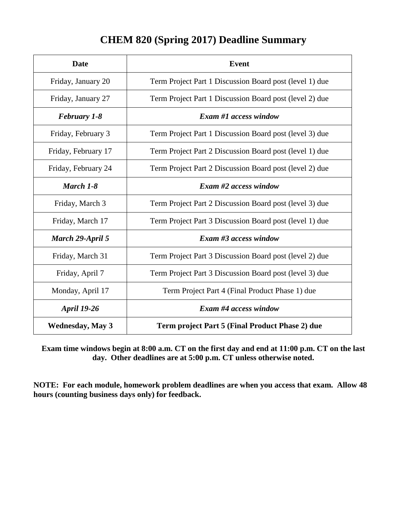## **CHEM 820 (Spring 2017) Deadline Summary**

| <b>Date</b>             | <b>Event</b>                                            |  |
|-------------------------|---------------------------------------------------------|--|
| Friday, January 20      | Term Project Part 1 Discussion Board post (level 1) due |  |
| Friday, January 27      | Term Project Part 1 Discussion Board post (level 2) due |  |
| <b>February 1-8</b>     | <b>Exam #1 access window</b>                            |  |
| Friday, February 3      | Term Project Part 1 Discussion Board post (level 3) due |  |
| Friday, February 17     | Term Project Part 2 Discussion Board post (level 1) due |  |
| Friday, February 24     | Term Project Part 2 Discussion Board post (level 2) due |  |
| March 1-8               | <b>Exam #2 access window</b>                            |  |
| Friday, March 3         | Term Project Part 2 Discussion Board post (level 3) due |  |
| Friday, March 17        | Term Project Part 3 Discussion Board post (level 1) due |  |
| March 29-April 5        | Exam #3 access window                                   |  |
| Friday, March 31        | Term Project Part 3 Discussion Board post (level 2) due |  |
| Friday, April 7         | Term Project Part 3 Discussion Board post (level 3) due |  |
| Monday, April 17        | Term Project Part 4 (Final Product Phase 1) due         |  |
| <b>April 19-26</b>      | Exam #4 access window                                   |  |
| <b>Wednesday, May 3</b> | Term project Part 5 (Final Product Phase 2) due         |  |

**Exam time windows begin at 8:00 a.m. CT on the first day and end at 11:00 p.m. CT on the last day. Other deadlines are at 5:00 p.m. CT unless otherwise noted.**

**NOTE: For each module, homework problem deadlines are when you access that exam. Allow 48 hours (counting business days only) for feedback.**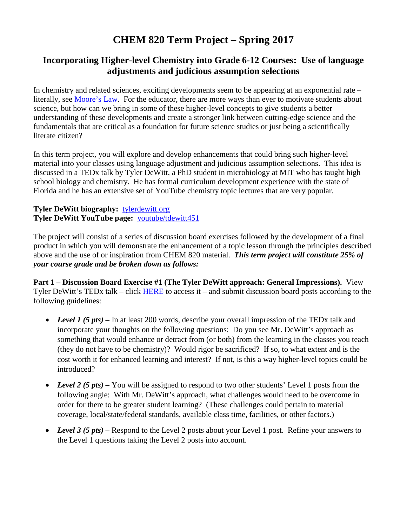# **CHEM 820 Term Project – Spring 2017**

### **Incorporating Higher-level Chemistry into Grade 6-12 Courses: Use of language adjustments and judicious assumption selections**

In chemistry and related sciences, exciting developments seem to be appearing at an exponential rate – literally, see [Moore's Law.](http://en.wikipedia.org/wiki/Moore%27s_law) For the educator, there are more ways than ever to motivate students about science, but how can we bring in some of these higher-level concepts to give students a better understanding of these developments and create a stronger link between cutting-edge science and the fundamentals that are critical as a foundation for future science studies or just being a scientifically literate citizen?

In this term project, you will explore and develop enhancements that could bring such higher-level material into your classes using language adjustment and judicious assumption selections. This idea is discussed in a TEDx talk by Tyler DeWitt, a PhD student in microbiology at MIT who has taught high school biology and chemistry. He has formal curriculum development experience with the state of Florida and he has an extensive set of YouTube chemistry topic lectures that are very popular.

#### **Tyler DeWitt biography:** [tylerdewitt.org](http://tylerdewitt.org/) **Tyler DeWitt YouTube page:** [youtube/tdewitt451](https://www.youtube.com/user/tdewitt451)

The project will consist of a series of discussion board exercises followed by the development of a final product in which you will demonstrate the enhancement of a topic lesson through the principles described above and the use of or inspiration from CHEM 820 material. *This term project will constitute 25% of your course grade and be broken down as follows:*

**Part 1 – Discussion Board Exercise #1 (The Tyler DeWitt approach: General Impressions).** View Tyler DeWitt's TEDx talk – click  $HERE$  to access it – and submit discussion board posts according to the following guidelines:

- *Level 1 (5 pts)* In at least 200 words, describe your overall impression of the TED<sub>x</sub> talk and incorporate your thoughts on the following questions: Do you see Mr. DeWitt's approach as something that would enhance or detract from (or both) from the learning in the classes you teach (they do not have to be chemistry)? Would rigor be sacrificed? If so, to what extent and is the cost worth it for enhanced learning and interest? If not, is this a way higher-level topics could be introduced?
- *Level 2 (5 pts)* You will be assigned to respond to two other students' Level 1 posts from the following angle: With Mr. DeWitt's approach, what challenges would need to be overcome in order for there to be greater student learning? (These challenges could pertain to material coverage, local/state/federal standards, available class time, facilities, or other factors.)
- *Level 3 (5 pts)* Respond to the Level 2 posts about your Level 1 post. Refine your answers to the Level 1 questions taking the Level 2 posts into account.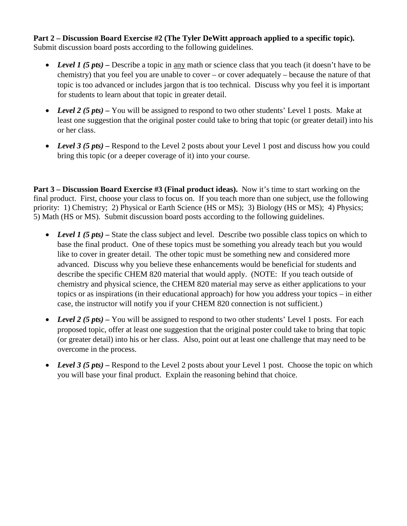**Part 2 – Discussion Board Exercise #2 (The Tyler DeWitt approach applied to a specific topic).** Submit discussion board posts according to the following guidelines.

- *Level 1 (5 pts)* Describe a topic in <u>any</u> math or science class that you teach (it doesn't have to be chemistry) that you feel you are unable to cover – or cover adequately – because the nature of that topic is too advanced or includes jargon that is too technical. Discuss why you feel it is important for students to learn about that topic in greater detail.
- *Level 2 (5 pts)* You will be assigned to respond to two other students' Level 1 posts. Make at least one suggestion that the original poster could take to bring that topic (or greater detail) into his or her class.
- *Level 3 (5 pts)* Respond to the Level 2 posts about your Level 1 post and discuss how you could bring this topic (or a deeper coverage of it) into your course.

**Part 3 – Discussion Board Exercise #3 (Final product ideas).** Now it's time to start working on the final product. First, choose your class to focus on. If you teach more than one subject, use the following priority: 1) Chemistry; 2) Physical or Earth Science (HS or MS); 3) Biology (HS or MS); 4) Physics; 5) Math (HS or MS). Submit discussion board posts according to the following guidelines.

- *Level 1 (5 pts)* State the class subject and level. Describe two possible class topics on which to base the final product. One of these topics must be something you already teach but you would like to cover in greater detail. The other topic must be something new and considered more advanced. Discuss why you believe these enhancements would be beneficial for students and describe the specific CHEM 820 material that would apply. (NOTE: If you teach outside of chemistry and physical science, the CHEM 820 material may serve as either applications to your topics or as inspirations (in their educational approach) for how you address your topics – in either case, the instructor will notify you if your CHEM 820 connection is not sufficient.)
- *Level 2 (5 pts)* You will be assigned to respond to two other students' Level 1 posts. For each proposed topic, offer at least one suggestion that the original poster could take to bring that topic (or greater detail) into his or her class. Also, point out at least one challenge that may need to be overcome in the process.
- *Level 3 (5 pts)* Respond to the Level 2 posts about your Level 1 post. Choose the topic on which you will base your final product. Explain the reasoning behind that choice.